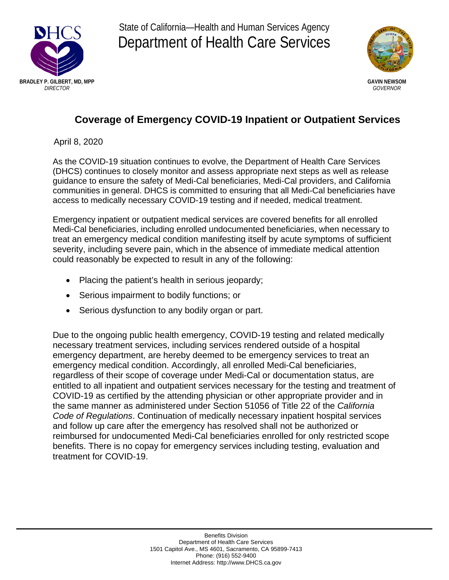

State of California—Health and Human Services Agency Department of Health Care Services



## **Coverage of Emergency COVID-19 Inpatient or Outpatient Services**

April 8, 2020

As the COVID-19 situation continues to evolve, the Department of Health Care Services (DHCS) continues to closely monitor and assess appropriate next steps as well as release guidance to ensure the safety of Medi-Cal beneficiaries, Medi-Cal providers, and California communities in general. DHCS is committed to ensuring that all Medi-Cal beneficiaries have access to medically necessary COVID-19 testing and if needed, medical treatment.

Emergency inpatient or outpatient medical services are covered benefits for all enrolled Medi-Cal beneficiaries, including enrolled undocumented beneficiaries, when necessary to treat an emergency medical condition manifesting itself by acute symptoms of sufficient severity, including severe pain, which in the absence of immediate medical attention could reasonably be expected to result in any of the following:

- Placing the patient's health in serious jeopardy;
- Serious impairment to bodily functions; or
- Serious dysfunction to any bodily organ or part.

Due to the ongoing public health emergency, COVID-19 testing and related medically necessary treatment services, including services rendered outside of a hospital emergency department, are hereby deemed to be emergency services to treat an emergency medical condition. Accordingly, all enrolled Medi-Cal beneficiaries, regardless of their scope of coverage under Medi-Cal or documentation status, are entitled to all inpatient and outpatient services necessary for the testing and treatment of COVID-19 as certified by the attending physician or other appropriate provider and in the same manner as administered under Section 51056 of Title 22 of the *California Code of Regulations*. Continuation of medically necessary inpatient hospital services and follow up care after the emergency has resolved shall not be authorized or reimbursed for undocumented Medi-Cal beneficiaries enrolled for only restricted scope benefits. There is no copay for emergency services including testing, evaluation and treatment for COVID-19.